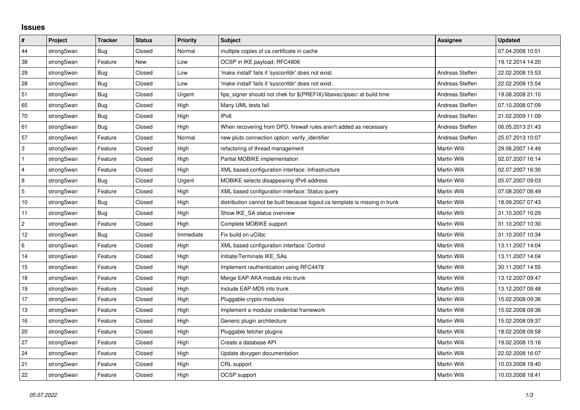## **Issues**

| $\vert$ #      | Project    | <b>Tracker</b> | <b>Status</b> | <b>Priority</b> | <b>Subject</b>                                                              | <b>Assignee</b> | <b>Updated</b>   |
|----------------|------------|----------------|---------------|-----------------|-----------------------------------------------------------------------------|-----------------|------------------|
| 44             | strongSwan | Bug            | Closed        | Normal          | multiple copies of ca certificate in cache                                  |                 | 07.04.2008 10:51 |
| 38             | strongSwan | Feature        | New           | Low             | OCSP in IKE payload, RFC4806                                                |                 | 19.12.2014 14:20 |
| 29             | strongSwan | <b>Bug</b>     | Closed        | Low             | 'make install' fails if 'sysconfdir' does not exist.                        | Andreas Steffen | 22.02.2008 15:53 |
| 28             | strongSwan | Bug            | Closed        | Low             | 'make install' fails if 'sysconfdir' does not exist.                        | Andreas Steffen | 22.02.2008 15:54 |
| 51             | strongSwan | Bug            | Closed        | Urgent          | fips_signer should not chek for \$(PREFIX)/libexec/ipsec/ at build time     | Andreas Steffen | 19.08.2008 21:10 |
| 65             | strongSwan | <b>Bug</b>     | Closed        | High            | Many UML tests fail                                                         | Andreas Steffen | 07.10.2008 07:09 |
| 70             | strongSwan | Bug            | Closed        | High            | IPv <sub>6</sub>                                                            | Andreas Steffen | 21.02.2009 11:09 |
| 61             | strongSwan | Bug            | Closed        | High            | When recovering from DPD, firewall rules aren't added as necessary          | Andreas Steffen | 06.05.2013 21:43 |
| 57             | strongSwan | Feature        | Closed        | Normal          | new pluto connection option: verify identifier                              | Andreas Steffen | 25.07.2013 10:07 |
| 3              | strongSwan | Feature        | Closed        | High            | refactoring of thread management                                            | Martin Willi    | 29.06.2007 14:49 |
| $\mathbf{1}$   | strongSwan | Feature        | Closed        | High            | Partial MOBIKE implementation                                               | Martin Willi    | 02.07.2007 16:14 |
| 4              | strongSwan | Feature        | Closed        | High            | XML based configuration interface: Infrastructure                           | Martin Willi    | 02.07.2007 16:30 |
| 8              | strongSwan | Bug            | Closed        | Urgent          | MOBIKE selects disappearing IPv6 address                                    | Martin Willi    | 05.07.2007 09:03 |
| 5              | strongSwan | Feature        | Closed        | High            | XML based configuration interface: Status query                             | Martin Willi    | 07.08.2007 08:49 |
| $10$           | strongSwan | Bug            | Closed        | High            | distribution cannot be built because logout.cs template is missing in trunk | Martin Willi    | 18.09.2007 07:43 |
| 11             | strongSwan | Bug            | Closed        | High            | Show IKE_SA status overview                                                 | Martin Willi    | 31.10.2007 10:29 |
| $\overline{2}$ | strongSwan | Feature        | Closed        | High            | Complete MOBIKE support                                                     | Martin Willi    | 31.10.2007 10:30 |
| 12             | strongSwan | Bug            | Closed        | Immediate       | Fix build on uClibc                                                         | Martin Willi    | 31.10.2007 10:34 |
| 6              | strongSwan | Feature        | Closed        | High            | XML based configuration interface: Control                                  | Martin Willi    | 13.11.2007 14:04 |
| 14             | strongSwan | Feature        | Closed        | High            | Initiate/Terminate IKE_SAs                                                  | Martin Willi    | 13.11.2007 14:04 |
| 15             | strongSwan | Feature        | Closed        | High            | Implement rauthentication using RFC4478                                     | Martin Willi    | 30.11.2007 14:55 |
| 18             | strongSwan | Feature        | Closed        | High            | Merge EAP-AKA module into trunk                                             | Martin Willi    | 13.12.2007 09:47 |
| 19             | strongSwan | Feature        | Closed        | High            | Include EAP-MD5 into trunk                                                  | Martin Willi    | 13.12.2007 09:48 |
| 17             | strongSwan | Feature        | Closed        | High            | Pluggable crypto modules                                                    | Martin Willi    | 15.02.2008 09:36 |
| $13$           | strongSwan | Feature        | Closed        | High            | Implement a modular credential framework                                    | Martin Willi    | 15.02.2008 09:36 |
| 16             | strongSwan | Feature        | Closed        | High            | Generic plugin architecture                                                 | Martin Willi    | 15.02.2008 09:37 |
| 20             | strongSwan | Feature        | Closed        | High            | Pluggable fetcher plugins                                                   | Martin Willi    | 18.02.2008 09:58 |
| 27             | strongSwan | Feature        | Closed        | High            | Create a database API                                                       | Martin Willi    | 19.02.2008 15:16 |
| 24             | strongSwan | Feature        | Closed        | High            | Update doxygen documentation                                                | Martin Willi    | 22.02.2008 16:07 |
| 21             | strongSwan | Feature        | Closed        | High            | CRL support                                                                 | Martin Willi    | 10.03.2008 18:40 |
| 22             | strongSwan | Feature        | Closed        | High            | OCSP support                                                                | Martin Willi    | 10.03.2008 18:41 |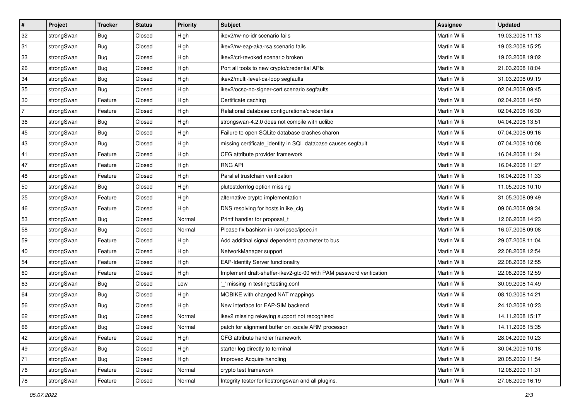| $\vert$ #      | Project    | <b>Tracker</b> | <b>Status</b> | <b>Priority</b> | <b>Subject</b>                                                      | Assignee            | <b>Updated</b>   |
|----------------|------------|----------------|---------------|-----------------|---------------------------------------------------------------------|---------------------|------------------|
| 32             | strongSwan | Bug            | Closed        | High            | ikev2/rw-no-idr scenario fails                                      | Martin Willi        | 19.03.2008 11:13 |
| 31             | strongSwan | Bug            | Closed        | High            | ikev2/rw-eap-aka-rsa scenario fails                                 | <b>Martin Willi</b> | 19.03.2008 15:25 |
| 33             | strongSwan | <b>Bug</b>     | Closed        | High            | ikev2/crl-revoked scenario broken                                   | Martin Willi        | 19.03.2008 19:02 |
| 26             | strongSwan | <b>Bug</b>     | Closed        | High            | Port all tools to new crypto/credential APIs                        | Martin Willi        | 21.03.2008 18:04 |
| 34             | strongSwan | Bug            | Closed        | High            | ikev2/multi-level-ca-loop segfaults                                 | Martin Willi        | 31.03.2008 09:19 |
| 35             | strongSwan | <b>Bug</b>     | Closed        | High            | ikev2/ocsp-no-signer-cert scenario segfaults                        | <b>Martin Willi</b> | 02.04.2008 09:45 |
| 30             | strongSwan | Feature        | Closed        | High            | Certificate caching                                                 | Martin Willi        | 02.04.2008 14:50 |
| $\overline{7}$ | strongSwan | Feature        | Closed        | High            | Relational database configurations/credentials                      | Martin Willi        | 02.04.2008 16:30 |
| 36             | strongSwan | Bug            | Closed        | High            | strongswan-4.2.0 does not compile with uclibc                       | Martin Willi        | 04.04.2008 13:51 |
| 45             | strongSwan | Bug            | Closed        | High            | Failure to open SQLite database crashes charon                      | Martin Willi        | 07.04.2008 09:16 |
| 43             | strongSwan | Bug            | Closed        | High            | missing certificate_identity in SQL database causes segfault        | Martin Willi        | 07.04.2008 10:08 |
| 41             | strongSwan | Feature        | Closed        | High            | CFG attribute provider framework                                    | Martin Willi        | 16.04.2008 11:24 |
| 47             | strongSwan | Feature        | Closed        | High            | <b>RNG API</b>                                                      | <b>Martin Willi</b> | 16.04.2008 11:27 |
| 48             | strongSwan | Feature        | Closed        | High            | Parallel trustchain verification                                    | Martin Willi        | 16.04.2008 11:33 |
| 50             | strongSwan | Bug            | Closed        | High            | plutostderrlog option missing                                       | <b>Martin Willi</b> | 11.05.2008 10:10 |
| 25             | strongSwan | Feature        | Closed        | High            | alternative crypto implementation                                   | Martin Willi        | 31.05.2008 09:49 |
| 46             | strongSwan | Feature        | Closed        | High            | DNS resolving for hosts in ike_cfg                                  | <b>Martin Willi</b> | 09.06.2008 09:34 |
| 53             | strongSwan | Bug            | Closed        | Normal          | Printf handler for proposal_t                                       | <b>Martin Willi</b> | 12.06.2008 14:23 |
| 58             | strongSwan | <b>Bug</b>     | Closed        | Normal          | Please fix bashism in /src/ipsec/ipsec.in                           | Martin Willi        | 16.07.2008 09:08 |
| 59             | strongSwan | Feature        | Closed        | High            | Add additinal signal dependent parameter to bus                     | Martin Willi        | 29.07.2008 11:04 |
| 40             | strongSwan | Feature        | Closed        | High            | NetworkManager support                                              | Martin Willi        | 22.08.2008 12:54 |
| 54             | strongSwan | Feature        | Closed        | High            | <b>EAP-Identity Server functionality</b>                            | Martin Willi        | 22.08.2008 12:55 |
| 60             | strongSwan | Feature        | Closed        | High            | Implement draft-sheffer-ikev2-gtc-00 with PAM password verification | Martin Willi        | 22.08.2008 12:59 |
| 63             | strongSwan | <b>Bug</b>     | Closed        | Low             | missing in testing/testing.conf                                     | Martin Willi        | 30.09.2008 14:49 |
| 64             | strongSwan | <b>Bug</b>     | Closed        | High            | MOBIKE with changed NAT mappings                                    | Martin Willi        | 08.10.2008 14:21 |
| 56             | strongSwan | <b>Bug</b>     | Closed        | High            | New interface for EAP-SIM backend                                   | Martin Willi        | 24.10.2008 10:23 |
| 62             | strongSwan | Bug            | Closed        | Normal          | ikev2 missing rekeying support not recognised                       | Martin Willi        | 14.11.2008 15:17 |
| 66             | strongSwan | Bug            | Closed        | Normal          | patch for alignment buffer on xscale ARM processor                  | Martin Willi        | 14.11.2008 15:35 |
| 42             | strongSwan | Feature        | Closed        | High            | CFG attribute handler framework                                     | Martin Willi        | 28.04.2009 10:23 |
| 49             | strongSwan | Bug            | Closed        | High            | starter log directly to terminal                                    | Martin Willi        | 30.04.2009 10:18 |
| 71             | strongSwan | <b>Bug</b>     | Closed        | High            | Improved Acquire handling                                           | Martin Willi        | 20.05.2009 11:54 |
| 76             | strongSwan | Feature        | Closed        | Normal          | crypto test framework                                               | Martin Willi        | 12.06.2009 11:31 |
| 78             | strongSwan | Feature        | Closed        | Normal          | Integrity tester for libstrongswan and all plugins.                 | Martin Willi        | 27.06.2009 16:19 |